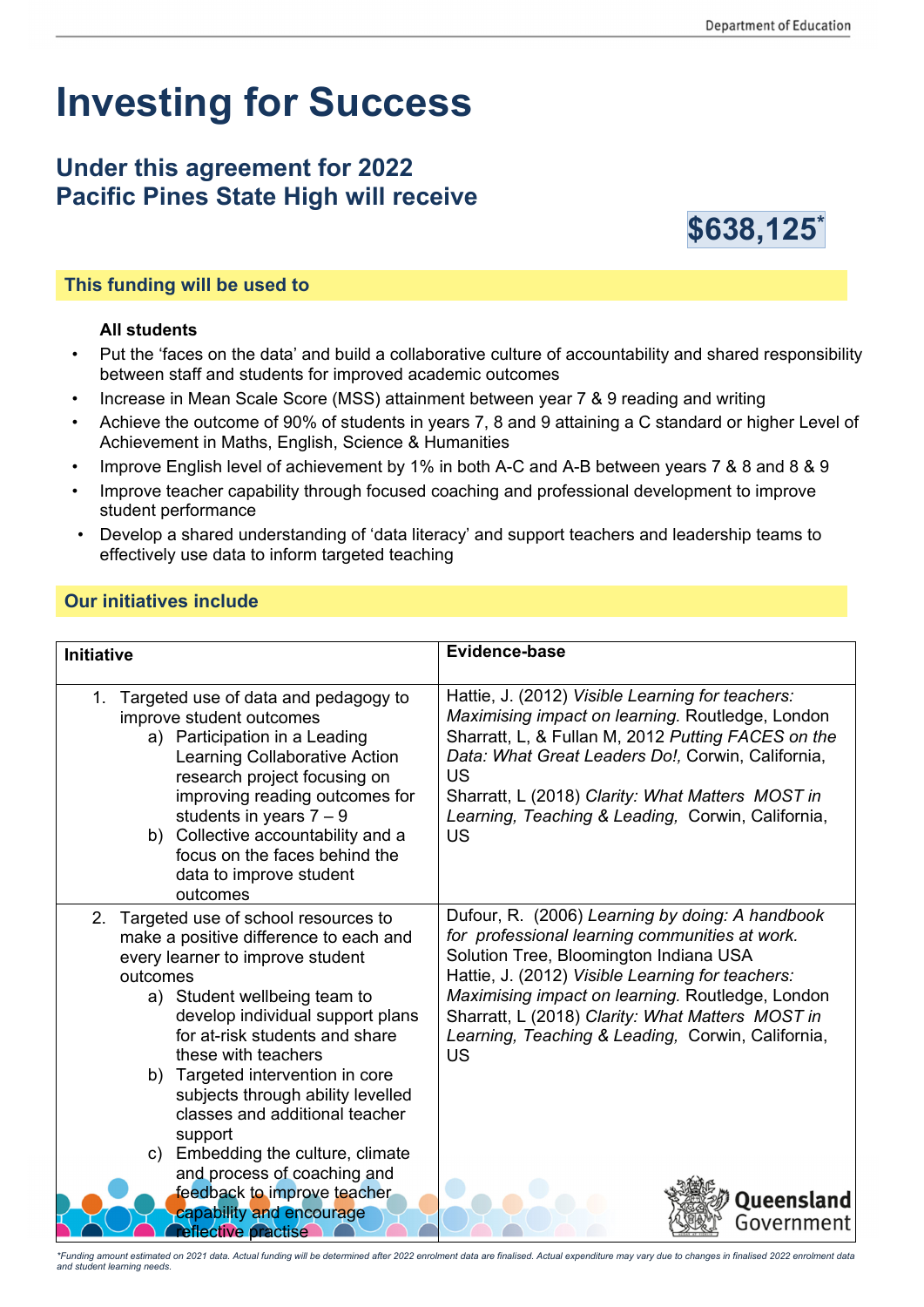# **Investing for Success**

# **Under this agreement for 2022 Pacific Pines State High will receive**



## **This funding will be used to**

#### **All students**

- Put the 'faces on the data' and build a collaborative culture of accountability and shared responsibility between staff and students for improved academic outcomes
- Increase in Mean Scale Score (MSS) attainment between year 7 & 9 reading and writing
- Achieve the outcome of 90% of students in years 7, 8 and 9 attaining a C standard or higher Level of Achievement in Maths, English, Science & Humanities
- Improve English level of achievement by 1% in both A-C and A-B between years 7 & 8 and 8 & 9
- Improve teacher capability through focused coaching and professional development to improve student performance
- Develop a shared understanding of 'data literacy' and support teachers and leadership teams to effectively use data to inform targeted teaching

### **Our initiatives include**

| <b>Initiative</b>                                                                                                                                                                                                                                                                                                                                                                      | Evidence-base                                                                                                                                                                                                                                                                                                                                                             |
|----------------------------------------------------------------------------------------------------------------------------------------------------------------------------------------------------------------------------------------------------------------------------------------------------------------------------------------------------------------------------------------|---------------------------------------------------------------------------------------------------------------------------------------------------------------------------------------------------------------------------------------------------------------------------------------------------------------------------------------------------------------------------|
| Targeted use of data and pedagogy to<br>1.<br>improve student outcomes<br>a) Participation in a Leading<br>Learning Collaborative Action<br>research project focusing on<br>improving reading outcomes for<br>students in years $7 - 9$<br>b) Collective accountability and a<br>focus on the faces behind the<br>data to improve student<br>outcomes                                  | Hattie, J. (2012) Visible Learning for teachers:<br>Maximising impact on learning. Routledge, London<br>Sharratt, L, & Fullan M, 2012 Putting FACES on the<br>Data: What Great Leaders Do!, Corwin, California,<br>US<br>Sharratt, L (2018) Clarity: What Matters MOST in<br>Learning, Teaching & Leading, Corwin, California,<br><b>US</b>                               |
| Targeted use of school resources to<br>2.<br>make a positive difference to each and<br>every learner to improve student<br>outcomes<br>a) Student wellbeing team to<br>develop individual support plans<br>for at-risk students and share<br>these with teachers<br>b) Targeted intervention in core<br>subjects through ability levelled<br>classes and additional teacher<br>support | Dufour, R. (2006) Learning by doing: A handbook<br>for professional learning communities at work.<br>Solution Tree, Bloomington Indiana USA<br>Hattie, J. (2012) Visible Learning for teachers:<br>Maximising impact on learning. Routledge, London<br>Sharratt, L (2018) Clarity: What Matters MOST in<br>Learning, Teaching & Leading, Corwin, California,<br><b>US</b> |
| Embedding the culture, climate<br>c)<br>and process of coaching and<br>feedback to improve teacher<br>capability and encourage<br>reflective practise                                                                                                                                                                                                                                  | Queensland<br>Government                                                                                                                                                                                                                                                                                                                                                  |

*\*Funding amount estimated on 2021 data. Actual funding will be determined after 2022 enrolment data are finalised. Actual expenditure may vary due to changes in finalised 2022 enrolment data and student learning needs.*